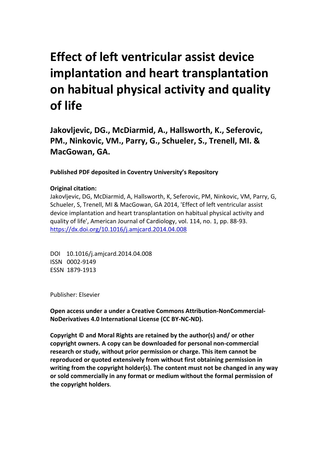# **Effect of left ventricular assist device implantation and heart transplantation on habitual physical activity and quality of life**

**Jakovljevic, DG., McDiarmid, A., Hallsworth, K., Seferovic, PM., Ninkovic, VM., Parry, G., Schueler, S., Trenell, MI. & MacGowan, GA.** 

**Published PDF deposited in Coventry University's Repository** 

### **Original citation:**

Jakovljevic, DG, McDiarmid, A, Hallsworth, K, Seferovic, PM, Ninkovic, VM, Parry, G, Schueler, S, Trenell, MI & MacGowan, GA 2014, 'Effect of left ventricular assist device implantation and heart transplantation on habitual physical activity and quality of life', American Journal of Cardiology, vol. 114, no. 1, pp. 88-93. https://dx.doi.org/10.1016/j.amjcard.2014.04.008

 DOI 10.1016/j.amjcard.2014.04.008 ISSN 0002-9149 ESSN 1879-1913

Publisher: Elsevier

**Open access under a under a Creative Commons Attribution-NonCommercial-NoDerivatives 4.0 International License (CC BY-NC-ND).** 

**Copyright © and Moral Rights are retained by the author(s) and/ or other copyright owners. A copy can be downloaded for personal non-commercial research or study, without prior permission or charge. This item cannot be reproduced or quoted extensively from without first obtaining permission in writing from the copyright holder(s). The content must not be changed in any way or sold commercially in any format or medium without the formal permission of the copyright holders**.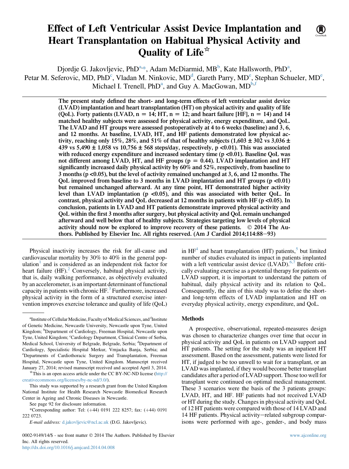## Effect of Left Ventricular Assist Device Implantation and Heart Transplantation on Habitual Physical Activity and Quality of Life<sup>\*</sup>

Djordje G. Jakovljevic, PhD<sup>a,\*</sup>, Adam McDiarmid, MB<sup>b</sup>, Kate Hallsworth, PhD<sup>a</sup>, Petar M. Seferovic, MD, PhD<sup>c</sup>, Vladan M. Ninkovic, MD<sup>d</sup>, Gareth Parry, MD<sup>e</sup>, Stephan Schueler, MD<sup>e</sup>, Michael I. Trenell,  $PhD^a$ , and Guy A. MacGowan,  $MD^{b,f}$ 

> The present study defined the short- and long-term effects of left ventricular assist device (LVAD) implantation and heart transplantation (HT) on physical activity and quality of life (QoL). Forty patients (LVAD,  $n = 14$ ; HT,  $n = 12$ ; and heart failure [HF],  $n = 14$ ) and 14 matched healthy subjects were assessed for physical activity, energy expenditure, and QoL. The LVAD and HT groups were assessed postoperatively at 4 to 6 weeks (baseline) and 3, 6, and 12 months. At baseline, LVAD, HT, and HF patients demonstrated low physical activity, reaching only 15%, 28%, and 51% of that of healthy subjects (1,603  $\pm$  302 vs 3,036  $\pm$ 439 vs 5,490  $\pm$  1,058 vs 10,756  $\pm$  568 steps/day, respectively, p <0.01). This was associated with reduced energy expenditure and increased sedentary time  $(p < 0.01)$ . Baseline QoL was not different among LVAD, HT, and HF groups ( $p = 0.44$ ). LVAD implantation and HT significantly increased daily physical activity by 60% and 52%, respectively, from baseline to 3 months (p <0.05), but the level of activity remained unchanged at 3, 6, and 12 months. The QoL improved from baseline to 3 months in LVAD implantation and HT groups ( $p \le 0.01$ ) but remained unchanged afterward. At any time point, HT demonstrated higher activity level than LVAD implantation ( $p < 0.05$ ), and this was associated with better QoL. In contrast, physical activity and QoL decreased at 12 months in patients with HF ( $p$  <0.05). In conclusion, patients in LVAD and HT patients demonstrate improved physical activity and QoL within the first 3 months after surgery, but physical activity and QoL remain unchanged afterward and well below that of healthy subjects. Strategies targeting low levels of physical activity should now be explored to improve recovery of these patients.  $\circ$  2014 The Authors. Published by Elsevier Inc. All rights reserved. (Am J Cardiol 2014;114:88-93)

Physical inactivity increases the risk for all-cause and cardiovascular mortality by 30% to 40% in the general population $\frac{1}{x}$  $\frac{1}{x}$  $\frac{1}{x}$  and is considered as an independent risk factor for heart failure  $(HF)$ .<sup>[2](#page-6-0)</sup> Conversely, habitual physical activity, that is, daily walking performance, as objectively evaluated by an accelerometer, is an important determinant of functional capacity in patients with chronic  $HF<sup>3</sup>$  $HF<sup>3</sup>$  $HF<sup>3</sup>$  Furthermore, increased physical activity in the form of a structured exercise intervention improves exercise tolerance and quality of life (QoL)

This study was supported by a research grant from the United Kingdom National Institute for Health Research Newcastle Biomedical Research Center in Ageing and Chronic Diseases in Newcastle.

0002-9149/14/\$ - see front matter © 2014 The Authors. Published by Elsevier Inc. All rights reserved. <http://dx.doi.org/10.1016/j.amjcard.2014.04.008>

in  $HF<sup>4</sup>$  $HF<sup>4</sup>$  $HF<sup>4</sup>$  and heart transplantation (HT) patients,<sup>[5](#page-6-0)</sup> but limited number of studies evaluated its impact in patients implanted with a left ventricular assist device  $(LVAD)$ .<sup>[6,7](#page-6-0)</sup> Before critically evaluating exercise as a potential therapy for patients on LVAD support, it is important to understand the pattern of habitual, daily physical activity and its relation to QoL. Consequently, the aim of this study was to define the shortand long-term effects of LVAD implantation and HT on everyday physical activity, energy expenditure, and QoL.

#### Methods

A prospective, observational, repeated-measures design was chosen to characterize changes over time that occur in physical activity and QoL in patients on LVAD support and HT patients. The setting for the study was an inpatient HT assessment. Based on the assessment, patients were listed for HT, if judged to be too unwell to wait for a transplant, or an LVAD wasimplanted, if they would become better transplant candidates after a period of LVAD support. Those too well for transplant were continued on optimal medical management. These 3 scenarios were the basis of the 3 patients groups: LVAD, HT, and HF. HF patients had not received LVAD or HT during the study. Changes in physical activity and QoL of 12 HT patients were compared with those of 14 LVAD and 14 HF patients. Physical activity-related subgroup comparisons were performed with age-, gender-, and body mass



<sup>&</sup>lt;sup>a</sup>Institute of Cellular Medicine, Faculty of Medical Sciences, and <sup>f</sup>Institute of Genetic Medicine, Newcastle University, Newcastle upon Tyne, United Kingdom; <sup>b</sup>Department of Cardiology, Freeman Hospital, Newcastle upon Tyne, United Kingdom; Cardiology Department, Clinical Centre of Serbia, Medical School, University of Belgrade, Belgrade, Serbia; <sup>d</sup>Department of Cardiology, Specialistic Hospital Merkur, Vrnjacka Banja, Serbia; and Departments of Cardiothoracic Surgery and Transplantation, Freeman Hospital, Newcastle upon Tyne, United Kingdom. Manuscript received January 27, 2014; revised manuscript received and accepted April 3, 2014. \*This is an open access article under the CC BY-NC-ND license [\(http://](http://creativecommons.org/licenses/by-nc-nd/3.0/)

[creativecommons.org/licenses/by-nc-nd/3.0/\)](http://creativecommons.org/licenses/by-nc-nd/3.0/).

See page 92 for disclosure information.

<sup>\*</sup>Corresponding author: Tel: (+44) 0191 222 8257; fax: (+44) 0191 222 0723.

E-mail address: [d.jakovljevic@ncl.ac.uk](mailto:d.jakovljevic@ncl.ac.uk) (D.G. Jakovljevic).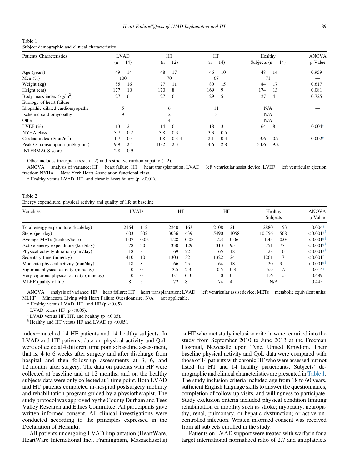<span id="page-2-0"></span>

| Table 1                                          |  |
|--------------------------------------------------|--|
| Subject demographic and clinical characteristics |  |

| <b>Patients Characteristics</b>    | <b>LVAD</b><br>$(n = 14)$ | HT<br>$(n = 12)$ | HF<br>$(n = 14)$ | Healthy<br>Subjects ( $n = 14$ ) | <b>ANOVA</b><br>p Value |
|------------------------------------|---------------------------|------------------|------------------|----------------------------------|-------------------------|
| Age (years)                        | 49<br>14                  | 48<br>17         | 46<br>10         | 48<br>14                         | 0.959                   |
| Men $(\%)$                         | 100                       | 70               | 67               | 71                               |                         |
| Weight (kg)                        | 85<br>16                  | 11<br>77         | 80<br>15         | 17<br>84                         | 0.617                   |
| Height (cm)                        | 10<br>177                 | 170<br>8         | 169<br>9         | 174<br>13                        | 0.081                   |
| Body mass index $(kg/m2)$          | 27<br>6                   | 27<br>6          | 29<br>5          | 27<br>$\overline{4}$             | 0.725                   |
| Etiology of heart failure          |                           |                  |                  |                                  |                         |
| Idiopathic dilated cardiomyopathy  |                           | 6                | 11               | N/A                              |                         |
| Ischemic cardiomyopathy            | 9                         | $\mathfrak{D}$   | 3                | N/A                              |                         |
| Other                              |                           | 4                |                  | N/A                              |                         |
| LVEF $(\% )$                       | 13<br>$\overline{c}$      | 14<br>6          | 3<br>18          | 64<br>- 8                        | $0.004*$                |
| <b>NYHA</b> class                  | 0.2<br>3.7                | 3.8<br>0.3       | 3.3<br>0.5       |                                  |                         |
| Cardiac index $(l/min/m2)$         | 0.4<br>1.7                | 1.8<br>0.34      | 0.4<br>2.1       | 0.7<br>3.6                       | $0.002*$                |
| Peak $O_2$ consumption (ml/kg/min) | 2.1<br>9.9                | 2.3<br>10.2      | 2.8<br>14.6      | 9.2<br>34.6                      |                         |
| <b>INTERMACS</b> score             | 0.9<br>2.8                |                  |                  |                                  |                         |

Other includes tricuspid atresia ( 2) and restrictive cardiomyopathy ( 2).

 $ANOVA =$  analysis of variance;  $HF =$  heart failure;  $HT =$  heart transplantation;  $LVAD =$  left ventricular assist device;  $LVEF =$  left ventricular ejection fraction;  $NYHA = New York Heart Association functional class.$ 

\* Healthy versus LVAD, HT, and chronic heart failure ( $p < 0.01$ ).

Table 2

Energy expenditure, physical activity and quality of life at baseline

| Variables                                 | <b>LVAD</b> |          | HT   |      | HF       |                | Healthy<br>Subjects |      | <b>ANOVA</b><br>p Value |  |
|-------------------------------------------|-------------|----------|------|------|----------|----------------|---------------------|------|-------------------------|--|
| Total energy expenditure (kcal/day)       | 2164        | 112      | 2240 | 163  | 2108     | 211            | 2880                | 153  | $0.004*$                |  |
| Steps (per day)                           | 1603        | 302      | 3036 | 439  | 5490     | 1058           | 10.756              | 568  | ${<}0.001**$            |  |
| Average METs (kcal/kg/hour)               | 1.07        | 0.06     | 1.28 | 0.08 | 1.23     | 0.06           | 1.45                | 0.04 | ${<}0.001**$            |  |
| Active energy expenditure (kcal/day)      | 78          | 30       | 330  | 129  | 313      | 95             | 751                 | 77   | ${<}0.001**$            |  |
| Physical activity duration (min/day)      | 18          | 8        | 69   | 22   | 65       | 18             | 128                 | 10   | ${<}0.001**$            |  |
| Sedentary time (min/day)                  | 1410        | 10       | 1303 | 32   | 1322     | 24             | 1261                | 17   | ${<}0.001$ <sup>+</sup> |  |
| Moderate physical activity (min/day)      | 18          | 8        | 66   | 25   | 64       | 18             | 120                 | 9    | ${<}0.001**$            |  |
| Vigorous physical activity (min/day)      | $\Omega$    | $\Omega$ | 3.5  | 2.3  | 0.5      | 0.3            | 5.9                 | 1.7  | 0.014 <sup>8</sup>      |  |
| Very vigorous physical activity (min/day) | 0           | $\Omega$ | 0.1  | 0.3  | $\theta$ | $\Omega$       | 1.6                 | 1.5  | 0.489                   |  |
| MLHF quality of life                      | 81          | 5        | 72   | 8    | 74       | $\overline{4}$ | N/A                 |      | 0.445                   |  |

 $ANOVA =$  analysis of variance;  $HF =$  heart failure;  $HT =$  heart transplantation;  $LVAD =$  left ventricular assist device;  $METs =$  metabolic equivalent units;  $MLHF =$  Minnesota Living with Heart Failure Questionnaire;  $N/A =$  not applicable.

\* Healthy versus LVAD, HT, and HF (p <0.05).  $^{\dagger}$  LVAD versus HF (p <0.05).

<sup> $\ddagger$ </sup> LVAD versus HF, HT, and healthy (p <0.05).

 $\frac{1}{3}$  Healthy and HT versus HF and LVAD (p <0.05).

index-matched 14 HF patients and 14 healthy subjects. In LVAD and HT patients, data on physical activity and QoL were collected at 4 different time points: baseline assessment, that is, 4 to 6 weeks after surgery and after discharge from hospital and then follow-up assessments at 3, 6, and 12 months after surgery. The data on patients with HF were collected at baseline and at 12 months, and on the healthy subjects data were only collected at 1 time point. Both LVAD and HT patients completed in-hospital postsurgery mobility and rehabilitation program guided by a physiotherapist. The study protocol was approved by the County Durham and Tees Valley Research and Ethics Committee. All participants gave written informed consent. All clinical investigations were conducted according to the principles expressed in the Declaration of Helsinki.

All patients undergoing LVAD implantation (HeartWare, HeartWare International Inc., Framingham, Massachusetts) or HT who met study inclusion criteria were recruited into the study from September 2010 to June 2013 at the Freeman Hospital, Newcastle upon Tyne, United Kingdom. Their baseline physical activity and QoL data were compared with those of 14 patients with chronic HF who were assessed but not listed for HT and 14 healthy participants. Subjects' demographic and clinical characteristics are presented in Table 1. The study inclusion criteria included age from 18 to 60 years, sufficient English language skills to answer the questionnaires, completion of follow-up visits, and willingness to participate. Study exclusion criteria included physical condition limiting rehabilitation or mobility such as stroke; myopathy; neuropathy; renal, pulmonary, or hepatic dysfunction; or active uncontrolled infection. Written informed consent was received from all subjects enrolled in the study.

Patients on LVAD support were treated with warfarin for a target international normalized ratio of 2.7 and antiplatelets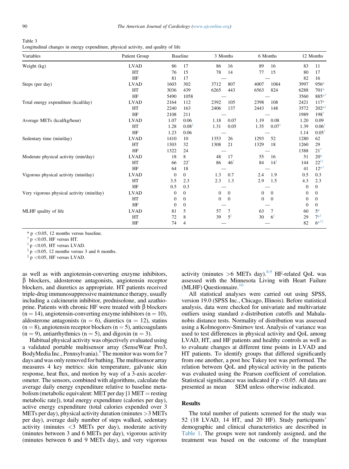<span id="page-3-0"></span>

| Table 3                                                                            |  |
|------------------------------------------------------------------------------------|--|
| Longitudinal changes in energy expenditure, physical activity, and quality of life |  |

| Variables                                 | Patient Group |                | <b>Baseline</b>      |              | 3 Months        |              | 6 Months          |                | 12 Months          |  |
|-------------------------------------------|---------------|----------------|----------------------|--------------|-----------------|--------------|-------------------|----------------|--------------------|--|
| Weight (kg)                               | <b>LVAD</b>   | 86             | 17                   | 86           | 16              | 89           | 16                | 83             | 11                 |  |
|                                           | HT            | 76             | 15                   | 78           | 14              | 77           | 15                | 80             | 17                 |  |
|                                           | HF            | 81             | 17                   |              |                 |              |                   | 82             | 16                 |  |
| Steps (per day)                           | <b>LVAD</b>   | 1603           | 302                  | 3712         | 807             | 4007         | 1084              | 3997           | 956*               |  |
|                                           | HT            | 3036           | 439                  | 6265         | 443             | 6563         | 824               | 6288           | $701*$             |  |
|                                           | HF            | 5490           | 1058                 |              |                 |              |                   | 3560           | 885*               |  |
| Total energy expenditure (kcal/day)       | <b>LVAD</b>   | 2164           | 112                  | 2392         | 105             | 2398         | 108               | 2421           | $117*$             |  |
|                                           | HT            | 2240           | 163                  | 2406         | 137             | 2443         | 148               | 3572           | $202^{*}$          |  |
|                                           | HF            | 2108           | 211                  |              |                 |              |                   | 1989           | $198^{\dagger}$    |  |
| Average METs (kcal/kg/hour)               | <b>LVAD</b>   | 1.07           | 0.06                 | 1.18         | 0.07            | 1.19         | 0.08              | 1.20           | 0.09               |  |
|                                           | HT            | 1.28           | $0.08^{\frac{1}{4}}$ | 1.31         | 0.05            | 1.35         | $0.07^{\ddagger}$ | 1.39           | 0.06               |  |
|                                           | HF            | 1.23           | 0.06                 |              |                 |              |                   | 1.14           | $0.05^{\dagger}$   |  |
| Sedentary time (min/day)                  | <b>LVAD</b>   | 1410           | 10                   | 1353         | 26              | 1293         | 52                | 1280           | 62                 |  |
|                                           | HT            | 1303           | 32                   | 1308         | 21              | 1329         | 18                | 1260           | 29                 |  |
|                                           | HF            | 1322           | 24                   |              |                 |              |                   | 1388           | $21^{\dagger}$     |  |
| Moderate physical activity (min/day)      | <b>LVAD</b>   | 18             | 8                    | 48           | 17              | 55           | 16                | 51             | $20*$              |  |
|                                           | HT            | 66             | $22^{\ddagger}$      | 86           | $46^{\ddagger}$ | 84           | $14^{\ddagger}$   | 144            | $22^{51}$          |  |
|                                           | HF            | 64             | 18                   |              |                 |              |                   | 41             | $12^{*^{\dagger}}$ |  |
| Vigorous physical activity (min/day)      | <b>LVAD</b>   | $\mathbf{0}$   | $\mathbf{0}$         | 1.3          | 0.7             | 2.4          | 1.9               | 0.5            | 0.3                |  |
|                                           | HT            | 3.5            | 2.3                  | 2.3          | 1.3             | 2.9          | 1.5               | 4.3            | 2.3                |  |
|                                           | HF            | 0.5            | 0.3                  |              |                 |              |                   | $\overline{0}$ | $\overline{0}$     |  |
| Very vigorous physical activity (min/day) | <b>LVAD</b>   | $\overline{0}$ | $\mathbf{0}$         | $\mathbf{0}$ | $\overline{0}$  | $\mathbf{0}$ | $\overline{0}$    | $\mathbf{0}$   | $\overline{0}$     |  |
|                                           | HT            | $\mathbf{0}$   | $\mathbf{0}$         | 0            | $\Omega$        | $\mathbf{0}$ | $\theta$          | $\mathbf{0}$   | $\mathbf{0}$       |  |
|                                           | HF            | $\overline{0}$ | $\mathbf{0}$         |              |                 |              |                   | $\overline{0}$ | $\mathbf{0}$       |  |
| MLHF quality of life                      | <b>LVAD</b>   | 81             | 5                    | 57           |                 | 63           | 7                 | 60             | $5*$               |  |
|                                           | HT            | 72             | 8                    | 39           | $5^{\ddagger}$  | 30           | $6^{\ddagger}$    | 29             | $7^{*1}$           |  |
|                                           | HF            | 74             | $\overline{4}$       |              |                 |              |                   | 82             | $6^{*+}$           |  |

\* p <0.05, 12 months versus baseline.<br>
<sup>†</sup> p <0.05, HF versus HT.

 $\rm\,^{\ddagger}$  p <0.05, HT versus LVAD.

 $p$  <0.05, 12 months versus 3 and 6 months.

 $\parallel$  p <0.05, HF versus LVAD.

as well as with angiotensin-converting enzyme inhibitors,  $\beta$  blockers, aldosterone antagonists, angiotensin receptor blockers, and diuretics as appropriate. HT patients received triple-drug immunosuppressive maintenance therapy, usually including a calcineurin inhibitor, prednisolone, and azathioprine. Patients with chronic HF were treated with  $\beta$  blockers  $(n = 14)$ , angiotensin-converting enzyme inhibitors  $(n = 10)$ , aldosterone antagonists (n = 6), diuretics (n = 12), statins  $(n = 8)$ , angiotensin receptor blockers  $(n = 5)$ , anticoagulants  $(n = 9)$ , antiarrhythmics  $(n = 5)$ , and digoxin  $(n = 3)$ .

Habitual physical activity was objectively evaluated using a validated portable multisensor array (SenseWear Pro3, BodyMedia Inc., Pennsylvania).<sup>[8](#page-6-0)</sup> The monitor was worn for 7 days and was only removed for bathing.The multisensor array measures 4 key metrics: skin temperature, galvanic skin response, heat flux, and motion by way of a 3-axis accelerometer. The sensors, combined with algorithms, calculate the average daily energy expenditure relative to baseline metabolism (metabolic equivalent: MET per day  $[1 \text{ MET} = \text{resting}]$ metabolic rate]), total energy expenditure (calories per day), active energy expenditure (total calories expended over 3 METs per day), physical activity duration (minutes >3 METs per day), average daily number of steps walked, sedentary activity (minutes  $\langle 3 \text{ METs} \rangle$  per day), moderate activity (minutes between 3 and 6 METs per day), vigorous activity (minutes between 6 and 9 METs day), and very vigorous

activity (minutes  $>6$  METs day).<sup>[8,9](#page-6-0)</sup> HF-related QoL was assessed with the Minnesota Living with Heart Failure (MLHF) Questionnaire. $10$ 

All statistical analyses were carried out using SPSS, version 19.0 (SPSS Inc., Chicago, Illinois). Before statistical analysis, data were checked for univariate and multivariate outliers using standard z-distribution cutoffs and Mahalanobis distance tests. Normality of distribution was assessed using a Kolmogorov-Smirnov test. Analysis of variance was used to test differences in physical activity and QoL among LVAD, HT, and HF patients and healthy controls as well as to evaluate changes at different time points in LVAD and HT patients. To identify groups that differed significantly from one another, a post hoc Tukey test was performed. The relation between QoL and physical activity in the patients was evaluated using the Pearson coefficient of correlation. Statistical significance was indicated if  $p < 0.05$ . All data are presented as mean SEM unless otherwise indicated.

#### Results

The total number of patients screened for the study was 52 (18 LVAD, 14 HT, and 20 HF). Study participants' demographic and clinical characteristics are described in [Table](#page-2-0) 1. The groups were not randomly assigned, and the treatment was based on the outcome of the transplant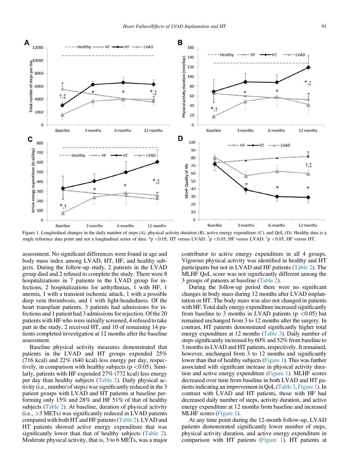<span id="page-4-0"></span>

Figure 1. Longitudinal changes in the daily number of steps  $(A)$ , physical activity duration  $(B)$ , active energy expenditure  $(C)$ , and QoL  $(D)$ . Healthy data is a single reference data point and not a longitudinal series of data. \*p <0.05, HT versus LVAD;  $\frac{1}{1}$ p <0.05, HF versus LVAD;  $\frac{1}{1}$ p <0.05, HF versus LVAD;  $\frac{1}{1}$ p <0.05, HF versus HT.

assessment. No significant differences were found in age and body mass index among LVAD, HT, HF, and healthy subjects. During the follow-up study, 2 patients in the LVAD group died and 2 refused to complete the study. There were 8 hospitalizations in 7 patients in the LVAD group for infections, 2 hospitalizations for arrhythmias, 1 with HF, 1 anemia, 1 with a transient ischemic attack, 1 with a possible deep vein thrombosis, and 1 with light-headedness. Of the heart transplant patients, 3 patients had admissions for infections and 1 patient had 3 admissions for rejection. Of the 20 patients with HF who were initially screened, 4 refused to take part in the study, 2 received HT, and 10 of remaining 14 patients completed investigation at 12 months after the baseline assessment.

Baseline physical activity measures demonstrated that patients in the LVAD and HT groups expended 25% (716 kcal) and 22% (640 kcal) less energy per day, respectively, in comparison with healthy subjects ( $p < 0.05$ ). Similarly, patients with HF expended 27% (772 kcal) less energy per day than healthy subjects [\(Table](#page-2-0) 2). Daily physical activity (i.e., number of steps) was significantly reduced in the 3 patient groups with LVAD and HT patients at baseline performing only 15% and 28% and HF 51% of that of healthy subjects ([Table](#page-2-0) 2). At baseline, duration of physical activity  $(i.e., >3 \text{ METs})$  was significantly reduced in LVAD patients compared with both HT and HF patients[\(Table](#page-2-0) 2). LVAD and HT patients showed active energy expenditure that was significantly lower than that of healthy subjects [\(Table](#page-2-0) 2). Moderate physical activity, that is, 3 to 6 METs, was a major

contributor to active energy expenditure in all 4 groups. Vigorous physical activity was identified in healthy and HT participants but not in LVAD and HF patients ([Table](#page-2-0) 2). The MLHF QoL score was not significantly different among the 3 groups of patients at baseline [\(Table](#page-2-0) 2).

During the follow-up period there were no significant changes in body mass during 12 months after LVAD implantation or HT. The body mass was also not changed in patients with HF. Total daily energy expenditure increased significantly from baseline to 3 months in LVAD patients ( $p < 0.05$ ) but remained unchanged from 3 to 12 months after the surgery. In contrast, HT patients demonstrated significantly higher total energy expenditure at 12 months [\(Table](#page-3-0) 3). Daily number of steps significantly increased by 60% and 52% from baseline to 3 monthsin LVAD and HT patients, respectively. It remained, however, unchanged from 3 to 12 months and significantly lower than that of healthy subjects (Figure 1). This was further associated with significant increase in physical activity duration and active energy expenditure (Figure 1). MLHF scores decreased over time from baseline in both LVAD and HT pa-tients indicating an improvement in QoL [\(Table](#page-3-0) 3, Figure 1). In contrast with LVAD and HT patients, those with HF had decreased daily number of steps, activity duration, and active energy expenditure at 12 months from baseline and increased MLHF scores (Figure 1).

At any time point during the 12-month follow-up, LVAD patients demonstrated significantly lower number of steps, physical activity duration, and active energy expenditure in comparison with HT patients (Figure 1). HT patients at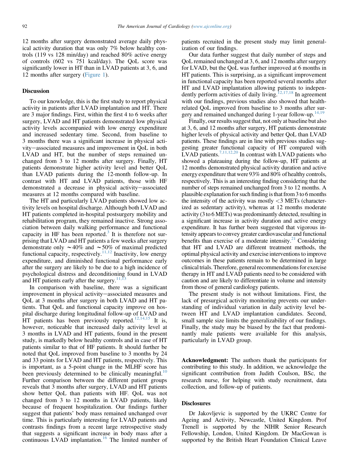12 months after surgery demonstrated average daily physical activity duration that was only 7% below healthy controls (119 vs 128 min/day) and reached 80% active energy of controls (602 vs 751 kcal/day). The QoL score was significantly lower in HT than in LVAD patients at 3, 6, and 12 months after surgery [\(Figure](#page-4-0) 1).

#### **Discussion**

To our knowledge, this is the first study to report physical activity in patients after LVAD implantation and HT. There are 3 major findings. First, within the first 4 to 6 weeks after surgery, LVAD and HT patients demonstrated low physical activity levels accompanied with low energy expenditure and increased sedentary time. Second, from baseline to 3 months there was a significant increase in physical activity-associated measures and improvement in QoL in both LVAD and HT, but the number of steps remained unchanged from 3 to 12 months after surgery. Finally, HT patients demonstrate higher activity level and better QoL than LVAD patients during the 12-month follow-up. In contrast with HT and LVAD patients, those with HF demonstrated a decrease in physical activity-associated measures at 12 months compared with baseline.

The HT and particularly LVAD patients showed low activity levels on hospital discharge. Although both LVAD and HT patients completed in-hospital postsurgery mobility and rehabilitation program, they remained inactive. Strong association between daily walking performance and functional capacity in HF has been reported.<sup>[3](#page-6-0)</sup> It is therefore not surprising that LVAD and HT patients a few weeks after surgery demonstrate only  $\sim$  40% and  $\sim$  50% of maximal predicted functional capacity, respectively.<sup>11,12</sup> Inactivity, low energy expenditure, and diminished functional performance early after the surgery are likely to be due to a high incidence of psychological distress and deconditioning found in LVAD and HT patients early after the surgery. $11,13$ 

In comparison with baseline, there was a significant improvement in physical activity-associated measures and QoL at 3 months after surgery in both LVAD and HT patients. That QoL and functional capacity improve on hospital discharge during longitudinal follow-up of LVAD and HT patients has been previously reported.<sup>[12,14,15](#page-6-0)</sup> It is, however, noticeable that increased daily activity level at 3 months in LVAD and HT patients, found in the present study, is markedly below healthy controls and in case of HT patients similar to that of HF patients. It should further be noted that QoL improved from baseline to 3 months by 24 and 33 points for LVAD and HT patients, respectively. This is important, as a 5-point change in the MLHF score has been previously determined to be clinically meaningful.<sup>[10](#page-6-0)</sup> Further comparison between the different patient groups reveals that 3 months after surgery, LVAD and HT patients show better QoL than patients with HF. QoL was not changed from 3 to 12 months in LVAD patients, likely because of frequent hospitalization. Our findings further suggest that patients' body mass remained unchanged over time. This is particularly interesting for LVAD patients and contrasts findings from a recent large retrospective study that suggests a significant increase in body mass after a continuous LVAD implantation.<sup>[16](#page-6-0)</sup> The limited number of patients recruited in the present study may limit generalization of our findings.

Our data further suggest that daily number of steps and QoL remained unchanged at 3, 6, and 12 months after surgery for LVAD, but the QoL was further improved at 6 months in HT patients. This is surprising, as a significant improvement in functional capacity has been reported several months after HT and LVAD implantation allowing patients to indepen-dently perform activities of daily living.<sup>[12,17,18](#page-6-0)</sup> In agreement with our findings, previous studies also showed that healthrelated QoL improved from baseline to 3 months after sur-gery and remained unchanged during 1-year follow-up.<sup>[14,19](#page-6-0)</sup>

Finally, our results suggest that, not only at baseline but also at 3, 6, and 12 months after surgery, HT patients demonstrate higher levels of physical activity and better QoL than LVAD patients. These findings are in line with previous studies suggesting greater functional capacity of HT compared with  $L$ VAD patients.<sup>7,11,12,20</sup> In contrast with LVAD patients who showed a plateauing during the follow-up, HT patients at 12 months demonstrated physical activity duration and active energy expenditure that were 93% and 80% of healthy controls, respectively. This is an interesting finding considering that the number of steps remained unchanged from 3 to 12 months. A plausible explanation for such finding is that from 3 to 6 months the intensity of the activity was mostly  $<$ 3 METs (characterized as sedentary activity), whereas at 12 months moderate activity (3 to 6 METs) was predominantly detected, resulting in a significant increase in activity duration and active energy expenditure. It has further been suggested that vigorous intensity appears to convey greater cardiovascular and functional benefits than exercise of a moderate intensity.<sup>21</sup> Considering that HT and LVAD are different treatment methods, the optimal physical activity and exercise interventionsto improve outcomes in these patients remain to be determined in large clinical trials. Therefore, general recommendations for exercise therapy in HT and LVAD patients need to be considered with caution and are likely to differentiate in volume and intensity from those of general cardiology patients.

The present study is not without limitations. First, the lack of presurgical activity monitoring prevents our understanding of individual variation in daily activity level between HT and LVAD implantation candidates. Second, small sample size limits the generalizability of our findings. Finally, the study may be biased by the fact that predominantly male patients were available for this analysis, particularly in LVAD group.

Acknowledgment: The authors thank the participants for contributing to this study. In addition, we acknowledge the significant contribution from Judith Coulson, BSc, the research nurse, for helping with study recruitment, data collection, and follow-up of patients.

#### **Disclosures**

Dr Jakovljevic is supported by the UKRC Centre for Ageing and Activity, Newcastle, United Kingdom. Prof Trenell is supported by the NIHR Senior Research Fellowship, London, United Kingdom. Dr MacGowan is supported by the British Heart Foundation Clinical Leave